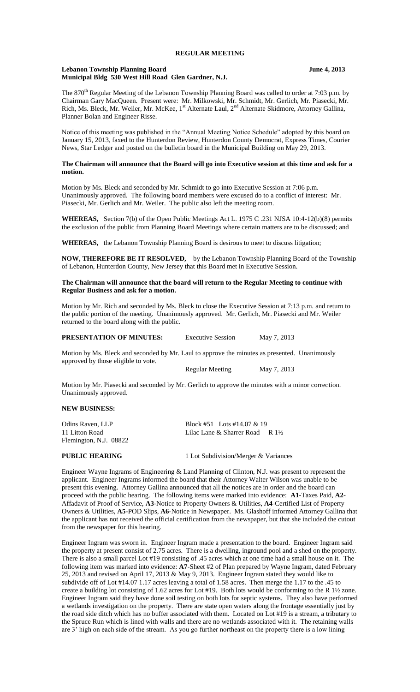#### **Lebanon Township Planning Board June 4, 2013 Municipal Bldg 530 West Hill Road Glen Gardner, N.J.**

The 870<sup>th</sup> Regular Meeting of the Lebanon Township Planning Board was called to order at 7:03 p.m. by Chairman Gary MacQueen. Present were: Mr. Milkowski, Mr. Schmidt, Mr. Gerlich, Mr. Piasecki, Mr. Rich, Ms. Bleck, Mr. Weiler, Mr. McKee, 1<sup>st</sup> Alternate Laul, 2<sup>nd</sup> Alternate Skidmore, Attorney Gallina, Planner Bolan and Engineer Risse.

Notice of this meeting was published in the "Annual Meeting Notice Schedule" adopted by this board on January 15, 2013, faxed to the Hunterdon Review, Hunterdon County Democrat, Express Times, Courier News, Star Ledger and posted on the bulletin board in the Municipal Building on May 29, 2013.

### **The Chairman will announce that the Board will go into Executive session at this time and ask for a motion.**

Motion by Ms. Bleck and seconded by Mr. Schmidt to go into Executive Session at 7:06 p.m. Unanimously approved. The following board members were excused do to a conflict of interest: Mr. Piasecki, Mr. Gerlich and Mr. Weiler. The public also left the meeting room.

**WHEREAS,** Section 7(b) of the Open Public Meetings Act L. 1975 C .231 NJSA 10:4-12(b)(8) permits the exclusion of the public from Planning Board Meetings where certain matters are to be discussed; and

**WHEREAS,** the Lebanon Township Planning Board is desirous to meet to discuss litigation;

**NOW, THEREFORE BE IT RESOLVED,** by the Lebanon Township Planning Board of the Township of Lebanon, Hunterdon County, New Jersey that this Board met in Executive Session.

#### **The Chairman will announce that the board will return to the Regular Meeting to continue with Regular Business and ask for a motion.**

Motion by Mr. Rich and seconded by Ms. Bleck to close the Executive Session at 7:13 p.m. and return to the public portion of the meeting. Unanimously approved. Mr. Gerlich, Mr. Piasecki and Mr. Weiler returned to the board along with the public.

| <b>PRESENTATION OF MINUTES:</b> | <b>Executive Session</b> | May 7, 2013 |
|---------------------------------|--------------------------|-------------|
|---------------------------------|--------------------------|-------------|

Motion by Ms. Bleck and seconded by Mr. Laul to approve the minutes as presented. Unanimously approved by those eligible to vote.

Regular Meeting May 7, 2013

Motion by Mr. Piasecki and seconded by Mr. Gerlich to approve the minutes with a minor correction. Unanimously approved.

#### **NEW BUSINESS:**

| Odins Raven, LLP       | Block #51 Lots #14.07 & 19                 |  |
|------------------------|--------------------------------------------|--|
| 11 Litton Road         | Lilac Lane & Sharrer Road R $1\frac{1}{2}$ |  |
| Flemington, N.J. 08822 |                                            |  |

**PUBLIC HEARING** 1 Lot Subdivision/Merger & Variances

Engineer Wayne Ingrams of Engineering & Land Planning of Clinton, N.J. was present to represent the applicant. Engineer Ingrams informed the board that their Attorney Walter Wilson was unable to be present this evening. Attorney Gallina announced that all the notices are in order and the board can proceed with the public hearing. The following items were marked into evidence: **A1**-Taxes Paid, **A2**- Affadavit of Proof of Service, **A3-**Notice to Property Owners & Utilities, **A4**-Certified List of Property Owners & Utilities, **A5-**POD Slips, **A6**-Notice in Newspaper. Ms. Glashoff informed Attorney Gallina that the applicant has not received the official certification from the newspaper, but that she included the cutout from the newspaper for this hearing.

Engineer Ingram was sworn in. Engineer Ingram made a presentation to the board. Engineer Ingram said the property at present consist of 2.75 acres. There is a dwelling, inground pool and a shed on the property. There is also a small parcel Lot #19 consisting of .45 acres which at one time had a small house on it. The following item was marked into evidence: **A7**-Sheet #2 of Plan prepared by Wayne Ingram, dated February 25, 2013 and revised on April 17, 2013 & May 9, 2013. Engineer Ingram stated they would like to subdivide off of Lot #14.07 1.17 acres leaving a total of 1.58 acres. Then merge the 1.17 to the .45 to create a building lot consisting of 1.62 acres for Lot #19. Both lots would be conforming to the R 1½ zone. Engineer Ingram said they have done soil testing on both lots for septic systems. They also have performed a wetlands investigation on the property. There are state open waters along the frontage essentially just by the road side ditch which has no buffer associated with them. Located on Lot #19 is a stream, a tributary to the Spruce Run which is lined with walls and there are no wetlands associated with it. The retaining walls are 3' high on each side of the stream. As you go further northeast on the property there is a low lining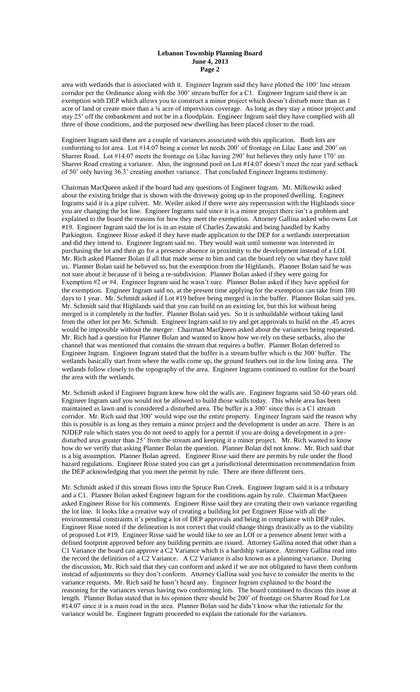area with wetlands that is associated with it. Engineer Ingram said they have plotted the 100' line stream corridor per the Ordinance along with the 300' stream buffer for a C1. Engineer Ingram said there is an exemption with DEP which allows you to construct a minor project which doesn't disturb more than an 1 acre of land or create more than a ¼ acre of impervious coverage. As long as they stay a minor project and stay 25' off the embankment and not be in a floodplain. Engineer Ingram said they have complied with all three of those conditions, and the purposed new dwelling has been placed closer to the road.

Engineer Ingram said there are a couple of variances associated with this application. Both lots are conforming to lot area. Lot #14.07 being a corner lot needs 200' of frontage on Lilac Lane and 200' on Sharrer Road. Lot #14.07 meets the frontage on Lilac having 290' but believes they only have 170' on Sharrer Road creating a variance. Also, the inground pool on Lot #14.07 doesn't meet the rear yard setback of 50' only having 36.3' creating another variance. That concluded Engineer Ingrams testimony.

Chairman MacQueen asked if the board had any questions of Engineer Ingram. Mr. Milkowski asked about the existing bridge that is shown with the driveway going up to the proposed dwelling. Engineer Ingrams said it is a pipe culvert. Mr. Weiler asked if there were any repercussion with the Highlands since you are changing the lot line. Engineer Ingrams said since it is a minor project there isn't a problem and explained to the board the reasons for how they meet the exemption. Attorney Gallina asked who owns Lot #19. Engineer Ingram said the lot is in an estate of Charles Zawatski and being handled by Kathy Parkington. Engineer Risse asked if they have made application to the DEP for a wetlands interpretation and did they intend to. Engineer Ingram said no. They would wait until someone was interested in purchasing the lot and then go for a presence absence in proximity to the development instead of a LOI. Mr. Rich asked Planner Bolan if all that made sense to him and can the board rely on what they have told us. Planner Bolan said he believed so, but the exemption from the Highlands. Planner Bolan said he was not sure about it because of it being a re-subdivision. Planner Bolan asked if they were going for Exemption #2 or #4. Engineer Ingram said he wasn't sure. Planner Bolan asked if they have applied for the exemption. Engineer Ingram said no, at the present time applying for the exemption can take from 180 days to 1 year. Mr. Schmidt asked if Lot #19 before being merged is in the buffer. Planner Bolan said yes. Mr. Schmidt said that Highlands said that you can build on an existing lot, but this lot without being merged is it completely in the buffer. Planner Bolan said yes. So it is unbuildable without taking land from the other lot per Mr. Schmidt. Engineer Ingram said to try and get approvals to build on the .45 acres would be impossible without the merger. Chairman MacQueen asked about the variances being requested. Mr. Rich had a question for Planner Bolan and wanted to know how we rely on these setbacks, also the channel that was mentioned that contains the stream that requires a buffer. Planner Bolan deferred to Engineer Ingram. Engineer Ingram stated that the buffer is a stream buffer which is the 300' buffer. The wetlands basically start from where the walls come up, the ground feathers out in the low lining area. The wetlands follow closely to the topography of the area. Engineer Ingrams continued to outline for the board the area with the wetlands.

Mr. Schmidt asked if Engineer Ingram knew how old the walls are. Engineer Ingrams said 50-60 years old. Engineer Ingram said you would not be allowed to build those walls today. This whole area has been maintained as lawn and is considered a disturbed area. The buffer is a 300' since this is a C1 stream corridor. Mr. Rich said that 300' would wipe out the entire property. Engineer Ingram said the reason why this is possible is as long as they remain a minor project and the development is under an acre. There is an NJDEP rule which states you do not need to apply for a permit if you are doing a development in a predisturbed area greater than 25' from the stream and keeping it a minor project. Mr. Rich wanted to know how do we verify that asking Planner Bolan the question. Planner Bolan did not know. Mr. Rich said that is a big assumption. Planner Bolan agreed. Engineer Risse said there are permits by rule under the flood hazard regulations. Engineer Risse stated you can get a jurisdictional determination recommendation from the DEP acknowledging that you meet the permit by rule. There are three different tiers.

Mr. Schmidt asked if this stream flows into the Spruce Run Creek. Engineer Ingram said it is a tributary and a C1. Planner Bolan asked Engineer Ingram for the conditions again by rule. Chairman MacQueen asked Engineer Risse for his comments. Engineer Risse said they are creating their own variance regarding the lot line. It looks like a creative way of creating a building lot per Engineer Risse with all the environmental constraints it's pending a lot of DEP approvals and being in compliance with DEP rules. Engineer Risse noted if the delineation is not correct that could change things drastically as to the viability of proposed Lot #19. Engineer Risse said he would like to see an LOI or a presence absent letter with a defined footprint approved before any building permits are issued. Attorney Gallina noted that other than a C1 Variance the board can approve a C2 Variance which is a hardship variance. Attorney Gallina read into the record the definition of a C2 Variance. A C2 Variance is also known as a planning variance. During the discussion, Mr. Rich said that they can conform and asked if we are not obligated to have them conform instead of adjustments so they don't conform. Attorney Gallina said you have to consider the merits to the variance requests. Mr. Rich said he hasn't heard any. Engineer Ingram explained to the board the reasoning for the variances versus having two conforming lots. The board continued to discuss this issue at length. Planner Bolan stated that in his opinion there should be 200' of frontage on Sharrer Road for Lot #14.07 since it is a main road in the area. Planner Bolan said he didn't know what the rationale for the variance would be. Engineer Ingram proceeded to explain the rationale for the variances.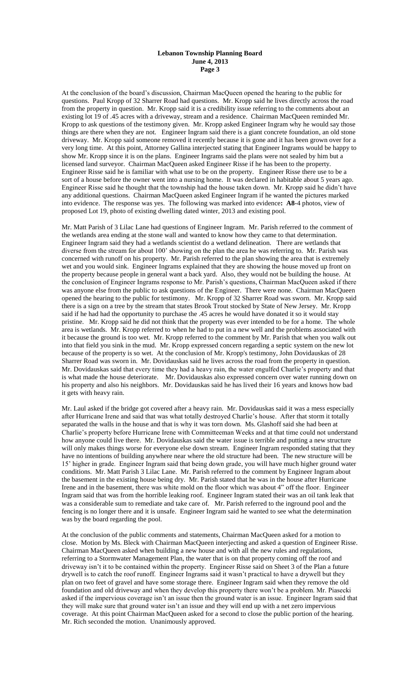At the conclusion of the board's discussion, Chairman MacQueen opened the hearing to the public for questions. Paul Kropp of 32 Sharrer Road had questions. Mr. Kropp said he lives directly across the road from the property in question. Mr. Kropp said it is a credibility issue referring to the comments about an existing lot 19 of .45 acres with a driveway, stream and a residence. Chairman MacQueen reminded Mr. Kropp to ask questions of the testimony given. Mr. Kropp asked Engineer Ingram why he would say those things are there when they are not. Engineer Ingram said there is a giant concrete foundation, an old stone driveway. Mr. Kropp said someone removed it recently because it is gone and it has been grown over for a very long time. At this point, Attorney Gallina interjected stating that Engineer Ingrams would be happy to show Mr. Kropp since it is on the plans. Engineer Ingrams said the plans were not sealed by him but a licensed land surveyor. Chairman MacQueen asked Engineer Risse if he has been to the property. Engineer Risse said he is familiar with what use to be on the property. Engineer Risse there use to be a sort of a house before the owner went into a nursing home. It was declared in habitable about 5 years ago. Engineer Risse said he thought that the township had the house taken down. Mr. Kropp said he didn't have any additional questions. Chairman MacQueen asked Engineer Ingram if he wanted the pictures marked into evidence. The response was yes. The following was marked into evidence**: A8**-4 photos, view of proposed Lot 19, photo of existing dwelling dated winter, 2013 and existing pool.

Mr. Matt Parish of 3 Lilac Lane had questions of Engineer Ingram. Mr. Parish referred to the comment of the wetlands area ending at the stone wall and wanted to know how they came to that determination. Engineer Ingram said they had a wetlands scientist do a wetland delineation. There are wetlands that diverse from the stream for about 100' showing on the plan the area he was referring to. Mr. Parish was concerned with runoff on his property. Mr. Parish referred to the plan showing the area that is extremely wet and you would sink. Engineer Ingrams explained that they are showing the house moved up front on the property because people in general want a back yard. Also, they would not be building the house. At the conclusion of Engineer Ingrams response to Mr. Parish's questions, Chairman MacQueen asked if there was anyone else from the public to ask questions of the Engineer. There were none. Chairman MacQueen opened the hearing to the public for testimony. Mr. Kropp of 32 Sharrer Road was sworn. Mr. Kropp said there is a sign on a tree by the stream that states Brook Trout stocked by State of New Jersey. Mr. Kropp said if he had had the opportunity to purchase the .45 acres he would have donated it so it would stay pristine. Mr. Kropp said he did not think that the property was ever intended to be for a home. The whole area is wetlands. Mr. Kropp referred to when he had to put in a new well and the problems associated with it because the ground is too wet. Mr. Kropp referred to the comment by Mr. Parish that when you walk out into that field you sink in the mud. Mr. Kropp expressed concern regarding a septic system on the new lot because of the property is so wet. At the conclusion of Mr. Kropp's testimony, John Dovidauskas of 28 Sharrer Road was sworn in. Mr. Dovidauskas said he lives across the road from the property in question. Mr. Dovidauskas said that every time they had a heavy rain, the water engulfed Charlie's property and that is what made the house deteriorate. Mr. Dovidauskas also expressed concern over water running down on his property and also his neighbors. Mr. Dovidauskas said he has lived their 16 years and knows how bad it gets with heavy rain.

Mr. Laul asked if the bridge got covered after a heavy rain. Mr. Dovidauskas said it was a mess especially after Hurricane Irene and said that was what totally destroyed Charlie's house. After that storm it totally separated the walls in the house and that is why it was torn down. Ms. Glashoff said she had been at Charlie's property before Hurricane Irene with Committeeman Weeks and at that time could not understand how anyone could live there. Mr. Dovidauskas said the water issue is terrible and putting a new structure will only makes things worse for everyone else down stream. Engineer Ingram responded stating that they have no intentions of building anywhere near where the old structure had been. The new structure will be 15' higher in grade. Engineer Ingram said that being down grade, you will have much higher ground water conditions. Mr. Matt Parish 3 Lilac Lane. Mr. Parish referred to the comment by Engineer Ingram about the basement in the existing house being dry. Mr. Parish stated that he was in the house after Hurricane Irene and in the basement, there was white mold on the floor which was about 4" off the floor. Engineer Ingram said that was from the horrible leaking roof. Engineer Ingram stated their was an oil tank leak that was a considerable sum to remediate and take care of. Mr. Parish referred to the inground pool and the fencing is no longer there and it is unsafe. Engineer Ingram said he wanted to see what the determination was by the board regarding the pool.

At the conclusion of the public comments and statements, Chairman MacQueen asked for a motion to close. Motion by Ms. Bleck with Chairman MacQueen interjecting and asked a question of Engineer Risse. Chairman MacQueen asked when building a new house and with all the new rules and regulations, referring to a Stormwater Management Plan, the water that is on that property coming off the roof and driveway isn't it to be contained within the property. Engineer Risse said on Sheet 3 of the Plan a future drywell is to catch the roof runoff. Engineer Ingrams said it wasn't practical to have a drywell but they plan on two feet of gravel and have some storage there. Engineer Ingram said when they remove the old foundation and old driveway and when they develop this property there won't be a problem. Mr. Piasecki asked if the impervious coverage isn't an issue then the ground water is an issue. Engineer Ingram said that they will make sure that ground water isn't an issue and they will end up with a net zero impervious coverage. At this point Chairman MacQueen asked for a second to close the public portion of the hearing. Mr. Rich seconded the motion. Unanimously approved.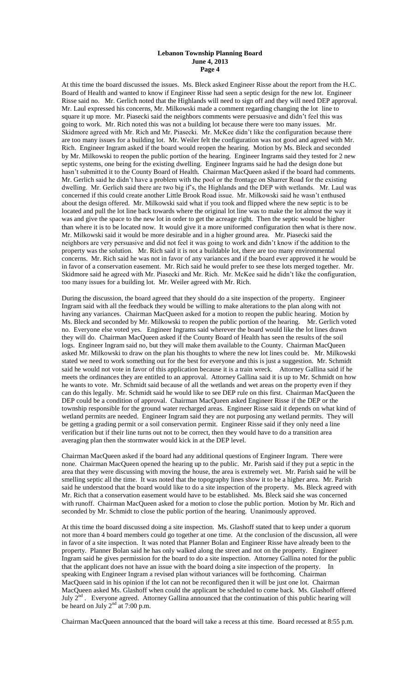At this time the board discussed the issues. Ms. Bleck asked Engineer Risse about the report from the H.C. Board of Health and wanted to know if Engineer Risse had seen a septic design for the new lot. Engineer Risse said no. Mr. Gerlich noted that the Highlands will need to sign off and they will need DEP approval. Mr. Laul expressed his concerns, Mr. Milkowski made a comment regarding changing the lot line to square it up more. Mr. Piasecki said the neighbors comments were persuasive and didn't feel this was going to work. Mr. Rich noted this was not a building lot because there were too many issues. Mr. Skidmore agreed with Mr. Rich and Mr. Piasecki. Mr. McKee didn't like the configuration because there are too many issues for a building lot. Mr. Weiler felt the configuration was not good and agreed with Mr. Rich. Engineer Ingram asked if the board would reopen the hearing. Motion by Ms. Bleck and seconded by Mr. Milkowski to reopen the public portion of the hearing. Engineer Ingrams said they tested for 2 new septic systems, one being for the existing dwelling. Engineer Ingrams said he had the design done but hasn't submitted it to the County Board of Health. Chairman MacQueen asked if the board had comments. Mr. Gerlich said he didn't have a problem with the pool or the frontage on Sharrer Road for the existing dwelling. Mr. Gerlich said there are two big if's, the Highlands and the DEP with wetlands. Mr. Laul was concerned if this could create another Little Brook Road issue. Mr. Milkowski said he wasn't enthused about the design offered. Mr. Milkowski said what if you took and flipped where the new septic is to be located and pull the lot line back towards where the original lot line was to make the lot almost the way it was and give the space to the new lot in order to get the acreage right. Then the septic would be higher than where it is to be located now. It would give it a more uniformed configuration then what is there now. Mr. Milkowski said it would be more desirable and in a higher ground area. Mr. Piasecki said the neighbors are very persuasive and did not feel it was going to work and didn't know if the addition to the property was the solution. Mr. Rich said it is not a buildable lot, there are too many environmental concerns. Mr. Rich said he was not in favor of any variances and if the board ever approved it he would be in favor of a conservation easement. Mr. Rich said he would prefer to see these lots merged together. Mr. Skidmore said he agreed with Mr. Piasecki and Mr. Rich. Mr. McKee said he didn't like the configuration, too many issues for a building lot. Mr. Weiler agreed with Mr. Rich.

During the discussion, the board agreed that they should do a site inspection of the property. Engineer Ingram said with all the feedback they would be willing to make alterations to the plan along with not having any variances. Chairman MacQueen asked for a motion to reopen the public hearing. Motion by Ms. Bleck and seconded by Mr. Milkowski to reopen the public portion of the hearing. Mr. Gerlich voted no. Everyone else voted yes. Engineer Ingrams said wherever the board would like the lot lines drawn they will do. Chairman MacQueen asked if the County Board of Health has seen the results of the soil logs. Engineer Ingram said no, but they will make them available to the County. Chairman MacQueen asked Mr. Milkowski to draw on the plan his thoughts to where the new lot lines could be. Mr. Milkowski stated we need to work something out for the best for everyone and this is just a suggestion. Mr. Schmidt said he would not vote in favor of this application because it is a train wreck. Attorney Gallina said if he meets the ordinances they are entitled to an approval. Attorney Gallina said it is up to Mr. Schmidt on how he wants to vote. Mr. Schmidt said because of all the wetlands and wet areas on the property even if they can do this legally. Mr. Schmidt said he would like to see DEP rule on this first. Chairman MacQueen the DEP could be a condition of approval. Chairman MacQueen asked Engineer Risse if the DEP or the township responsible for the ground water recharged areas. Engineer Risse said it depends on what kind of wetland permits are needed. Engineer Ingram said they are not purposing any wetland permits. They will be getting a grading permit or a soil conservation permit. Engineer Risse said if they only need a line verification but if their line turns out not to be correct, then they would have to do a transition area averaging plan then the stormwater would kick in at the DEP level.

Chairman MacQueen asked if the board had any additional questions of Engineer Ingram. There were none. Chairman MacQueen opened the hearing up to the public. Mr. Parish said if they put a septic in the area that they were discussing with moving the house, the area is extremely wet. Mr. Parish said he will be smelling septic all the time. It was noted that the topography lines show it to be a higher area. Mr. Parish said he understood that the board would like to do a site inspection of the property. Ms. Bleck agreed with Mr. Rich that a conservation easement would have to be established. Ms. Bleck said she was concerned with runoff. Chairman MacQueen asked for a motion to close the public portion. Motion by Mr. Rich and seconded by Mr. Schmidt to close the public portion of the hearing. Unanimously approved.

At this time the board discussed doing a site inspection. Ms. Glashoff stated that to keep under a quorum not more than 4 board members could go together at one time. At the conclusion of the discussion, all were in favor of a site inspection. It was noted that Planner Bolan and Engineer Risse have already been to the property. Planner Bolan said he has only walked along the street and not on the property. Engineer Ingram said he gives permission for the board to do a site inspection. Attorney Gallina noted for the public that the applicant does not have an issue with the board doing a site inspection of the property. In speaking with Engineer Ingram a revised plan without variances will be forthcoming. Chairman MacQueen said in his opinion if the lot can not be reconfigured then it will be just one lot. Chairman MacQueen asked Ms. Glashoff when could the applicant be scheduled to come back. Ms. Glashoff offered July  $2<sup>nd</sup>$ . Everyone agreed. Attorney Gallina announced that the continuation of this public hearing will be heard on July  $2<sup>nd</sup>$  at 7:00 p.m.

Chairman MacQueen announced that the board will take a recess at this time. Board recessed at 8:55 p.m.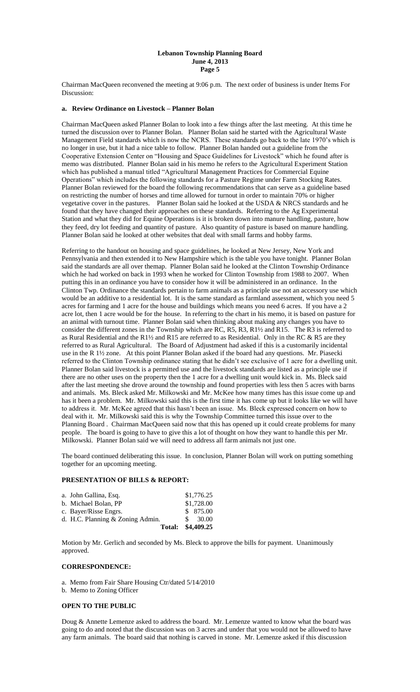Chairman MacQueen reconvened the meeting at 9:06 p.m. The next order of business is under Items For Discussion:

# **a. Review Ordinance on Livestock – Planner Bolan**

Chairman MacQueen asked Planner Bolan to look into a few things after the last meeting. At this time he turned the discussion over to Planner Bolan. Planner Bolan said he started with the Agricultural Waste Management Field standards which is now the NCRS. These standards go back to the late 1970's which is no longer in use, but it had a nice table to follow. Planner Bolan handed out a guideline from the Cooperative Extension Center on "Housing and Space Guidelines for Livestock" which he found after is memo was distributed. Planner Bolan said in his memo he refers to the Agricultural Experiment Station which has published a manual titled "Agricultural Management Practices for Commercial Equine Operations" which includes the following standards for a Pasture Regime under Farm Stocking Rates. Planner Bolan reviewed for the board the following recommendations that can serve as a guideline based on restricting the number of horses and time allowed for turnout in order to maintain 70% or higher vegetative cover in the pastures. Planner Bolan said he looked at the USDA & NRCS standards and he found that they have changed their approaches on these standards. Referring to the Ag Experimental Station and what they did for Equine Operations is it is broken down into manure handling, pasture, how they feed, dry lot feeding and quantity of pasture. Also quantity of pasture is based on manure handling. Planner Bolan said he looked at other websites that deal with small farms and hobby farms.

Referring to the handout on housing and space guidelines, he looked at New Jersey, New York and Pennsylvania and then extended it to New Hampshire which is the table you have tonight. Planner Bolan said the standards are all over themap. Planner Bolan said he looked at the Clinton Township Ordinance which he had worked on back in 1993 when he worked for Clinton Township from 1988 to 2007. When putting this in an ordinance you have to consider how it will be administered in an ordinance. In the Clinton Twp. Ordinance the standards pertain to farm animals as a principle use not an accessory use which would be an additive to a residential lot. It is the same standard as farmland assessment, which you need 5 acres for farming and 1 acre for the house and buildings which means you need 6 acres. If you have a 2 acre lot, then 1 acre would be for the house. In referring to the chart in his memo, it is based on pasture for an animal with turnout time. Planner Bolan said when thinking about making any changes you have to consider the different zones in the Township which are RC, R5, R3, R1½ and R15. The R3 is referred to as Rural Residential and the R1 $\frac{1}{2}$  and R15 are referred to as Residential. Only in the RC & R5 are they referred to as Rural Agricultural. The Board of Adjustment had asked if this is a customarily incidental use in the R 1½ zone. At this point Planner Bolan asked if the board had any questions. Mr. Piasecki referred to the Clinton Township ordinance stating that he didn't see exclusive of 1 acre for a dwelling unit. Planner Bolan said livestock is a permitted use and the livestock standards are listed as a principle use if there are no other uses on the property then the 1 acre for a dwelling unit would kick in. Ms. Bleck said after the last meeting she drove around the township and found properties with less then 5 acres with barns and animals. Ms. Bleck asked Mr. Milkowski and Mr. McKee how many times has this issue come up and has it been a problem. Mr. Milkowski said this is the first time it has come up but it looks like we will have to address it. Mr. McKee agreed that this hasn't been an issue. Ms. Bleck expressed concern on how to deal with it. Mr. Milkowski said this is why the Township Committee turned this issue over to the Planning Board . Chairman MacQueen said now that this has opened up it could create problems for many people. The board is going to have to give this a lot of thought on how they want to handle this per Mr. Milkowski. Planner Bolan said we will need to address all farm animals not just one.

The board continued deliberating this issue. In conclusion, Planner Bolan will work on putting something together for an upcoming meeting.

#### **PRESENTATION OF BILLS & REPORT:**

| <b>Total:</b>                    |               | \$4,409.25 |
|----------------------------------|---------------|------------|
| d. H.C. Planning & Zoning Admin. | $\mathcal{S}$ | 30.00      |
| c. Bayer/Risse Engrs.            |               | \$ 875.00  |
| b. Michael Bolan, PP             |               | \$1,728.00 |
| a. John Gallina, Esq.            |               | \$1,776.25 |

Motion by Mr. Gerlich and seconded by Ms. Bleck to approve the bills for payment. Unanimously approved.

#### **CORRESPONDENCE:**

a. Memo from Fair Share Housing Ctr/dated 5/14/2010

b. Memo to Zoning Officer

### **OPEN TO THE PUBLIC**

Doug & Annette Lemenze asked to address the board. Mr. Lemenze wanted to know what the board was going to do and noted that the discussion was on 3 acres and under that you would not be allowed to have any farm animals. The board said that nothing is carved in stone. Mr. Lemenze asked if this discussion